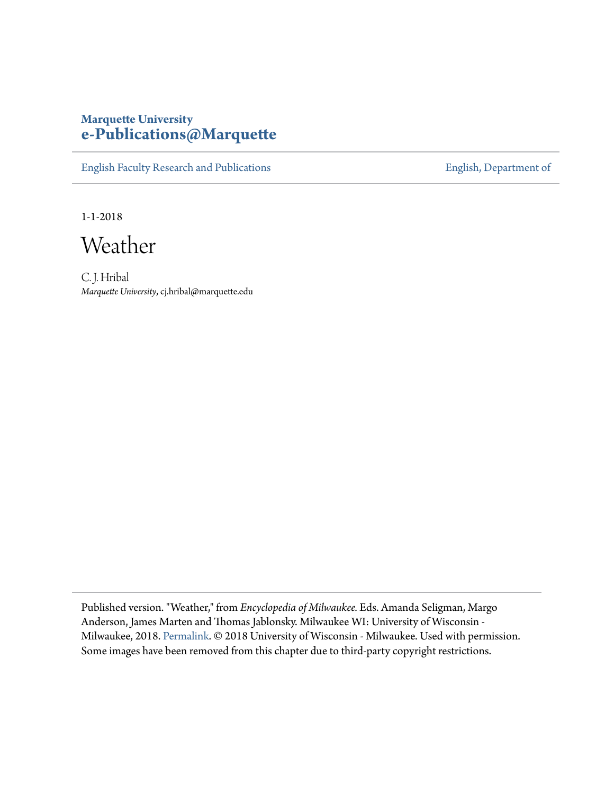## **Marquette University [e-Publications@Marquette](https://epublications.marquette.edu)**

[English Faculty Research and Publications](https://epublications.marquette.edu/english_fac) **[English, Department of](https://epublications.marquette.edu/english)** 

1-1-2018

Weather

C. J. Hribal *Marquette University*, cj.hribal@marquette.edu

Published version. "Weather," from *Encyclopedia of Milwaukee.* Eds. Amanda Seligman, Margo Anderson, James Marten and Thomas Jablonsky. Milwaukee WI: University of Wisconsin - Milwaukee, 2018. [Permalink](https://emke.uwm.edu/entry/weather/). © 2018 University of Wisconsin - Milwaukee. Used with permission. Some images have been removed from this chapter due to third-party copyright restrictions.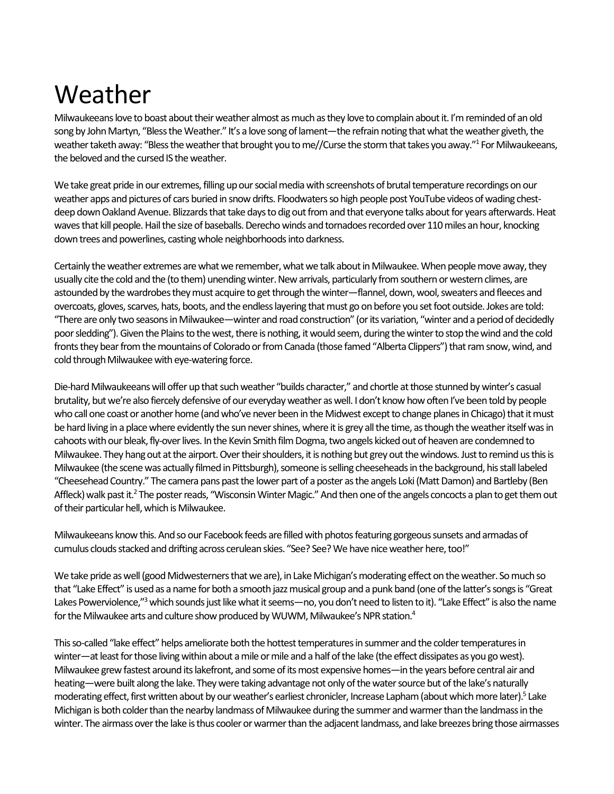# Weather

 Milwaukeeans love to boast about their weather almost as much as they love to complain about it. I'm reminded of an old song by John Martyn, "Bless the Weather." It's a love song of lament—the refrain noting that what the weather giveth, the weather taketh away: "Bless the weather that brought you to me//Curse the storm that takes you away."<sup>1</sup> For Milwaukeeans, the beloved and the cursed IS the weather.

 We take great pride in our extremes, filling up our social media with screenshots of brutal temperature recordings on our weather apps and pictures of cars buried in snow drifts. Floodwaters so high people post YouTube videos of wading chest- deep down Oakland Avenue. Blizzards that take days to dig out from and that everyone talks about for years afterwards. Heat waves that kill people. Hail the size of baseballs. Derecho winds and tornadoes recorded over 110 miles an hour, knocking down trees and powerlines, casting whole neighborhoods into darkness.

 Certainly the weather extremes are what we remember, what we talk about in Milwaukee. When people move away, they usually cite the cold and the (to them) unending winter. New arrivals, particularly from southern or western climes, are overcoats, gloves, scarves, hats, boots, and the endless layering that must go on before you set foot outside. Jokes are told: "There are only two seasons in Milwaukee—winter and road construction" (or its variation, "winter and a period of decidedly poor sledding"). Given the Plains to the west, there is nothing, it would seem, during the winter to stop the wind and the cold fronts they bear from the mountains of Colorado or from Canada (those famed "Alberta Clippers") that ram snow, wind, and astounded by the wardrobes they must acquire to get through the winter—flannel, down, wool, sweaters and fleeces and cold through Milwaukee with eye-watering force.

 Die-hard Milwaukeeans will offer up that such weather "builds character," and chortle at those stunned by winter's casual brutality, but we're also fiercely defensive of our everyday weather as well. I don't know how often I've been told by people who call one coast or another home (and who've never been in the Midwest except to change planes in Chicago) that it must be hard living in a place where evidently the sun never shines, where it is grey all the time, as though the weather itself was in cahoots with our bleak, fly-over lives. In the Kevin Smith film Dogma, two angels kicked out of heaven are condemned to Milwaukee. They hang out at the airport. Over their shoulders, it is nothing but grey out the windows. Just to remind us this is Milwaukee (the scene was actually filmed in Pittsburgh), someone is selling cheeseheads in the background, his stall labeled "Cheesehead Country." The camera pans past the lower part of a poster as the angels Loki (Matt Damon) and Bartleby (Ben Affleck) walk past it.<sup>2</sup> The poster reads, "Wisconsin Winter Magic." And then one of the angels concocts a plan to get them out of their particular hell, which is Milwaukee.

 Milwaukeeans know this. And so our Facebook feeds are filled with photos featuring gorgeous sunsets and armadas of cumulus clouds stacked and drifting across cerulean skies. "See? See? We have nice weather here, too!"

 We take pride as well (good Midwesterners that we are), in Lake Michigan's moderating effect on the weather. So much so that "Lake Effect" is used as a name for both a smooth jazz musical group and a punk band (one of the latter's songs is "Great Lakes Powerviolence,"<sup>3</sup> which sounds just like what it seems—no, you don't need to listen to it). "Lake Effect" is also the name for the Milwaukee arts and culture show produced by WUWM, Milwaukee's NPR station.<sup>4</sup>

 This so-called "lake effect" helps ameliorate both the hottest temperatures in summer and the colder temperatures in winter—at least for those living within about a mile or mile and a half of the lake (the effect dissipates as you go west). Milwaukee grew fastest around its lakefront, and some of its most expensive homes—in the years before central air and heating—were built along the lake. They were taking advantage not only of the water source but of the lake's naturally moderating effect, first written about by our weather's earliest chronicler, Increase Lapham (about which more later).<sup>5</sup> Lake Michigan is both colder than the nearby landmass of Milwaukee during the summer and warmer than the landmass in the winter. The airmass over the lake is thus cooler or warmer than the adjacent landmass, and lake breezes bring those airmasses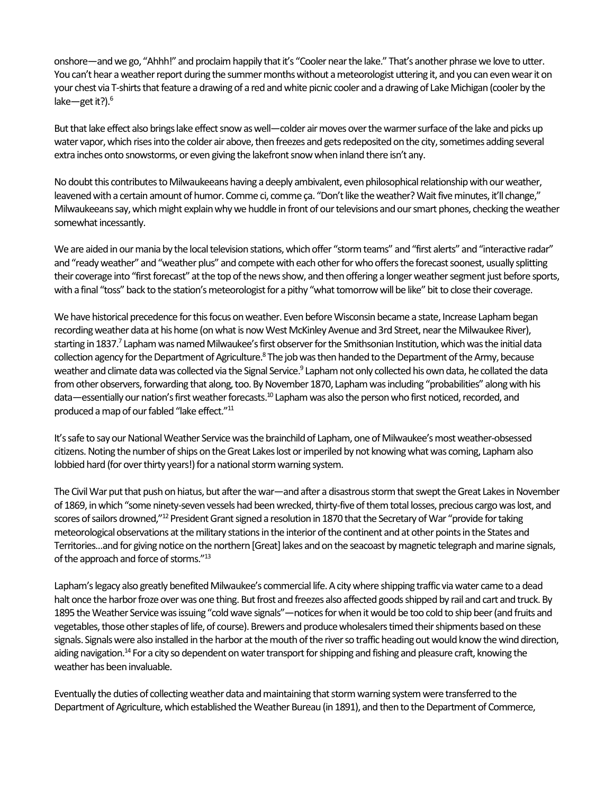onshore—and we go, "Ahhh!" and proclaim happily that it's "Cooler near the lake." That's another phrase we love to utter. You can't hear a weather report during the summer months without a meteorologist uttering it, and you can even wear it on your chest via T-shirts that feature a drawing of a red and white picnic cooler and a drawing of Lake Michigan (cooler by the lake—get it?). $6$ 

 But that lake effect also brings lake effect snow as well—colder air moves over the warmer surface of the lake and picks up water vapor, which rises into the colder air above, then freezes and gets redeposited on the city, sometimes adding several extra inches onto snowstorms, or even giving the lakefront snow when inland there isn't any.

 No doubt this contributes to Milwaukeeans having a deeply ambivalent, even philosophical relationship with our weather, leavened with a certain amount of humor. Comme ci, comme ça. "Don't like the weather? Wait five minutes, it'll change," Milwaukeeans say, which might explain why we huddle in front of our televisions and our smart phones, checking the weather somewhat incessantly.

 We are aided in our mania by the local television stations, which offer "storm teams" and "first alerts" and "interactive radar" and "ready weather" and "weather plus" and compete with each other for who offers the forecast soonest, usually splitting their coverage into "first forecast" at the top of the news show, and then offering a longer weather segment just before sports, with a final "toss" back to the station's meteorologist for a pithy "what tomorrow will be like" bit to close their coverage.

 We have historical precedence for this focus on weather. Even before Wisconsin became a state, Increase Lapham began recording weather data at his home (on what is now West McKinley Avenue and 3rd Street, near the Milwaukee River), starting in 1837.<sup>7</sup> Lapham was named Milwaukee's first observer for the Smithsonian Institution, which was the initial data collection agency for the Department of Agriculture.<sup>8</sup> The job was then handed to the Department of the Army, because weather and climate data was collected via the Signal Service.<sup>9</sup> Lapham not only collected his own data, he collated the data data—essentially our nation's first weather forecasts.<sup>10</sup> Lapham was also the person who first noticed, recorded, and produced a map of our fabled "lake effect."<sup>11</sup> from other observers, forwarding that along, too. By November 1870, Lapham was including "probabilities" along with his

 It's safe to say our National Weather Service was the brainchild of Lapham, one of Milwaukee's most weather-obsessed citizens. Noting the number of ships on the Great Lakes lost or imperiled by not knowing what was coming, Lapham also lobbied hard (for over thirty years!) for a national storm warning system.

 The Civil War put that push on hiatus, but after the war—and after a disastrous storm that swept the Great Lakes in November of 1869, in which "some ninety-seven vessels had been wrecked, thirty-five of them total losses, precious cargo was lost, and scores of sailors drowned,"<sup>12</sup> President Grant signed a resolution in 1870 that the Secretary of War "provide for taking meteorological observations at the military stations in the interior of the continent and at other points in the States and Territories…and for giving notice on the northern [Great] lakes and on the seacoast by magnetic telegraph and marine signals, of the approach and force of storms."13

 Lapham's legacy also greatly benefited Milwaukee's commercial life. A city where shipping traffic via water came to a dead halt once the harbor froze over was one thing. But frost and freezes also affected goods shipped by rail and cart and truck. By 1895 the Weather Service was issuing "cold wave signals"—notices for when it would be too cold to ship beer (and fruits and vegetables, those other staples of life, of course). Brewers and produce wholesalers timed their shipments based on these signals. Signals were also installed in the harbor at the mouth of the river so traffic heading out would know the wind direction, aiding navigation.<sup>14</sup> For a city so dependent on water transport for shipping and fishing and pleasure craft, knowing the weather has been invaluable.

 Eventually the duties of collecting weather data and maintaining that storm warning system were transferred to the Department of Agriculture, which established the Weather Bureau (in 1891), and then to the Department of Commerce,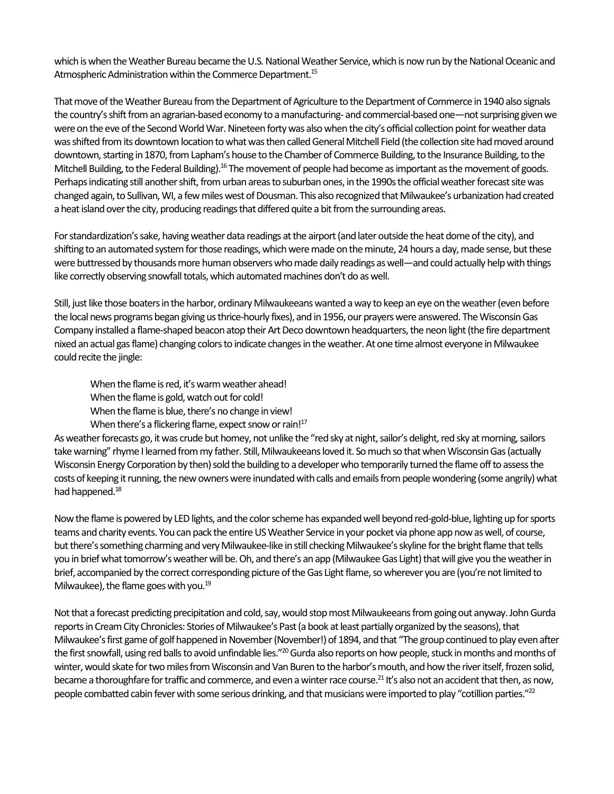which is when the Weather Bureau became the U.S. National Weather Service, which is now run by the National Oceanic and Atmospheric Administration within the Commerce Department.<sup>15</sup>

 That move of the Weather Bureau from the Department of Agriculture to the Department of Commerce in 1940 also signals the country's shift from an agrarian-based economy to a manufacturing- and commercial-based one—not surprising given we were on the eve of the Second World War. Nineteen forty was also when the city's official collection point for weather data was shifted from its downtown location to what was then called General Mitchell Field (the collection site had moved around downtown, starting in 1870, from Lapham's house to the Chamber of Commerce Building, to the Insurance Building, to the Mitchell Building, to the Federal Building).<sup>16</sup> The movement of people had become as important as the movement of goods. Perhaps indicating still another shift, from urban areas to suburban ones, in the 1990s the official weather forecast site was changed again, to Sullivan, WI, a few miles west of Dousman. This also recognized that Milwaukee's urbanization had created a heat island over the city, producing readings that differed quite a bit from the surrounding areas.

 For standardization's sake, having weather data readings at the airport (and later outside the heat dome of the city), and shifting to an automated system for those readings, which were made on the minute, 24 hours a day, made sense, but these were buttressed by thousands more human observers who made daily readings as well—and could actually help with things like correctly observing snowfall totals, which automated machines don't do as well.

 Still, just like those boaters in the harbor, ordinary Milwaukeeans wanted a way to keep an eye on the weather (even before the local news programs began giving us thrice-hourly fixes), and in 1956, our prayers were answered. The Wisconsin Gas Company installed a flame-shaped beacon atop their Art Deco downtown headquarters, the neon light (the fire department nixed an actual gas flame) changing colors to indicate changes in the weather. At one time almost everyone in Milwaukee could recite the jingle:

 When the flame is red, it's warm weather ahead! When the flame is gold, watch out for cold!

When the flame is blue, there's no change in view!

When there's a flickering flame, expect snow or rain!<sup>17</sup>

 As weather forecasts go, it was crude but homey, not unlike the "red sky at night, sailor's delight, red sky at morning, sailors take warning" rhyme I learned from my father. Still, Milwaukeeans loved it. So much so that when Wisconsin Gas (actually Wisconsin Energy Corporation by then) sold the building to a developer who temporarily turned the flame off to assess the costs of keeping it running, the new owners were inundated with calls and emails from people wondering (some angrily) what had happened.<sup>18</sup>

 Now the flame is powered by LED lights, and the color scheme has expanded well beyond red-gold-blue, lighting up for sports teams and charity events. You can pack the entire US Weather Service in your pocket via phone app now as well, of course, but there's something charming and very Milwaukee-like in still checking Milwaukee's skyline for the bright flame that tells you in brief what tomorrow's weather will be. Oh, and there's an app (Milwaukee Gas Light) that will give you the weather in brief, accompanied by the correct corresponding picture of the Gas Light flame, so wherever you are (you're not limited to Milwaukee), the flame goes with you.19

 Not that a forecast predicting precipitation and cold, say, would stop most Milwaukeeans from going out anyway. John Gurda reports in Cream City Chronicles: Stories of Milwaukee's Past (a book at least partially organized by the seasons), that Milwaukee's first game of golf happened in November (November!) of 1894, and that "The group continued to play even after the first snowfall, using red balls to avoid unfindable lies."<sup>20</sup> Gurda also reports on how people, stuck in months and months of winter, would skate for two miles from Wisconsin and Van Buren to the harbor's mouth, and how the river itself, frozen solid, became a thoroughfare for traffic and commerce, and even a winter race course.<sup>21</sup> It's also not an accident that then, as now, people combatted cabin fever with some serious drinking, and that musicians were imported to play "cotillion parties."<sup>22</sup>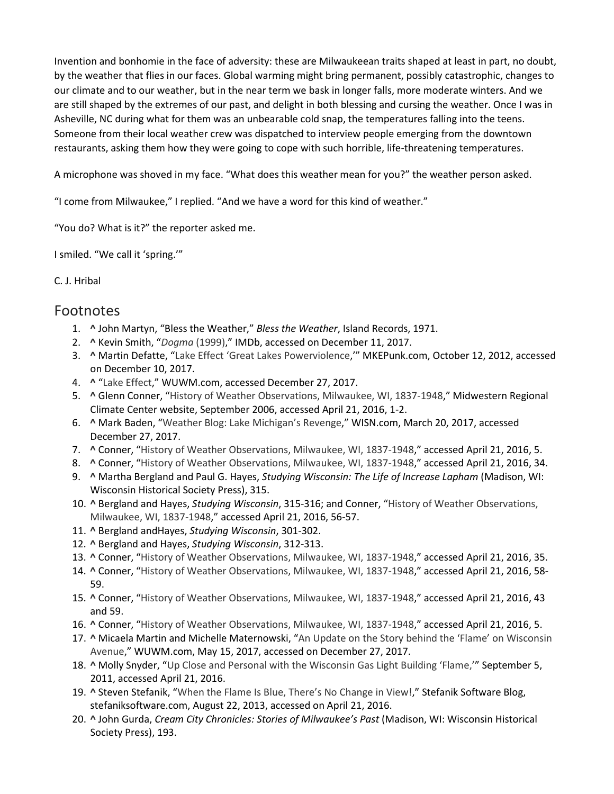our climate and to our weather, but in the near term we bask in longer falls, more moderate winters. And we are still shaped by the extremes of our past, and delight in both blessing and cursing the weather. Once I was in Invention and bonhomie in the face of adversity: these are Milwaukeean traits shaped at least in part, no doubt, by the weather that flies in our faces. Global warming might bring permanent, possibly catastrophic, changes to Asheville, NC during what for them was an unbearable cold snap, the temperatures falling into the teens. Someone from their local weather crew was dispatched to interview people emerging from the downtown restaurants, asking them how they were going to cope with such horrible, life-threatening temperatures.

A microphone was shoved in my face. "What does this weather mean for you?" the weather person asked.

"I come from Milwaukee," I replied. "And we have a word for this kind of weather."

"You do? What is it?" the reporter asked me.

I smiled. "We call it 'spring.'"

#### C. J. Hribal

### Footnotes

- 1. **[^](https://emke.uwm.edu/entry/weather/#_ftnref1-entry)** John Martyn, "Bless the Weather," *Bless the Weather*, Island Records, 1971.
- 2. **[^](https://emke.uwm.edu/entry/weather/#_ftnref2-entry)** Kevin Smith, "*[Dogma](http://www.imdb.com/title/tt0120655/)* (1999)," IMDb, accessed on December 11, 2017.
- 3. **[^](https://emke.uwm.edu/entry/weather/#_ftnref3-entry)** Martin Defatte, ["Lake Effect 'Great Lakes Powerviolence,](http://www.mkepunk.com/releases/hardcore/lake-effect-great-lakes-powerviolence/)'" MKEPunk.com, October 12, 2012, accessed on December 10, 2017.
- 4. **[^](https://emke.uwm.edu/entry/weather/#_ftnref4-entry)** ["Lake Effect,](http://wuwm.com/programs/lake-effect#stream/0)" WUWM.com, accessed December 27, 2017.
- Climate Center website, September 2006, accessed April 21, 2016, 1-2. 5. **[^](https://emke.uwm.edu/entry/weather/#_ftnref5-entry)** Glenn Conner, ["History of Weather Observations, Milwaukee, WI, 1837-1948,](http://mrcc.sws.uiuc.edu/FORTS/histories/WI_Milwaukee_Conner.pdf)" Midwestern Regional
- 6. **[^](https://emke.uwm.edu/entry/weather/#_ftnref6-entry)** Mark Baden, ["Weather Blog: Lake Michigan's Revenge,](http://www.wisn.com/article/weather-blog-lake-michigans-revenge/9160063)" WISN.com, March 20, 2017, accessed December 27, 2017.
- 7. **[^](https://emke.uwm.edu/entry/weather/#_ftnref7-entry)** Conner, ["History of Weather Observations, Milwaukee, WI, 1837-1948,](http://mrcc.sws.uiuc.edu/FORTS/histories/WI_Milwaukee_Conner.pdf)" accessed April 21, 2016, 5.
- 8. **[^](https://emke.uwm.edu/entry/weather/#_ftnref8-entry)** Conner, ["History of Weather Observations, Milwaukee, WI, 1837-1948,](http://mrcc.sws.uiuc.edu/FORTS/histories/WI_Milwaukee_Conner.pdf)" accessed April 21, 2016, 34.
- 9. **[^](https://emke.uwm.edu/entry/weather/#_ftnref9-entry)** Martha Bergland and Paul G. Hayes, *Studying Wisconsin: The Life of Increase Lapham* (Madison, WI: Wisconsin Historical Society Press), 315.
- [Milwaukee, WI, 1837-1948,](http://mrcc.sws.uiuc.edu/FORTS/histories/WI_Milwaukee_Conner.pdf)" accessed April 21, 2016, 56-57. 10. **[^](https://emke.uwm.edu/entry/weather/#_ftnref10-entry)** Bergland and Hayes, *Studying Wisconsin*, 315-316; and Conner, ["History of Weather Observations,](http://mrcc.sws.uiuc.edu/FORTS/histories/WI_Milwaukee_Conner.pdf)
- 11. **[^](https://emke.uwm.edu/entry/weather/#_ftnref11-entry)** Bergland andHayes, *Studying Wisconsin*, 301-302.
- 12. **[^](https://emke.uwm.edu/entry/weather/#_ftnref12-entry)** Bergland and Hayes, *Studying Wisconsin*, 312-313.
- 13. **[^](https://emke.uwm.edu/entry/weather/#_ftnref13-entry)** Conner, ["History of Weather Observations, Milwaukee, WI, 1837-1948,](http://mrcc.sws.uiuc.edu/FORTS/histories/WI_Milwaukee_Conner.pdf)" accessed April 21, 2016, 35.
- 14. **[^](https://emke.uwm.edu/entry/weather/#_ftnref14-entry)** Conner, ["History of Weather Observations, Milwaukee, WI, 1837-1948,](http://mrcc.sws.uiuc.edu/FORTS/histories/WI_Milwaukee_Conner.pdf)" accessed April 21, 2016, 58- 59.
- 15. **[^](https://emke.uwm.edu/entry/weather/#_ftnref15-entry)** Conner, ["History of Weather Observations, Milwaukee, WI, 1837-1948,](http://mrcc.sws.uiuc.edu/FORTS/histories/WI_Milwaukee_Conner.pdf)" accessed April 21, 2016, 43 and 59.
- 16. **[^](https://emke.uwm.edu/entry/weather/#_ftnref16-entry)** Conner, ["History of Weather Observations, Milwaukee, WI, 1837-1948,](http://mrcc.sws.uiuc.edu/FORTS/histories/WI_Milwaukee_Conner.pdf)" accessed April 21, 2016, 5.
- 17. **[^](https://emke.uwm.edu/entry/weather/#_ftnref17-entry)** Micaela Martin and Michelle Maternowski, ["An Update on the Story behind the 'Flame' on Wisconsin](http://wuwm.com/post/update-story-behind-flame-wisconsin-avenue#stream/0)  [Avenue,](http://wuwm.com/post/update-story-behind-flame-wisconsin-avenue#stream/0)" WUWM.com, May 15, 2017, accessed on December 27, 2017.
- 18. **[^](https://emke.uwm.edu/entry/weather/#_ftnref18-entry)** Molly Snyder, ["Up Close and Personal with the Wisconsin Gas Light Building 'Flame,'"](https://onmilwaukee.com/buzz/articles/wisconsingasbuildingflame.html) September 5, 2011, accessed April 21, 2016.
- stefaniksoftware.com, August 22, 2013, accessed on April 21, 2016. 19. **[^](https://emke.uwm.edu/entry/weather/#_ftnref19-entry)** Steven Stefanik, ["When the Flame Is Blue, There's No Change in View!,](http://www.stefaniksoftware.com/blog/when-the-flame-is-blue-theres-no-change-in-view/)" Stefanik Software Blog,
- 20. **[^](https://emke.uwm.edu/entry/weather/#_ftnref20-entry)** John Gurda, *Cream City Chronicles: Stories of Milwaukee's Past* (Madison, WI: Wisconsin Historical Society Press), 193.